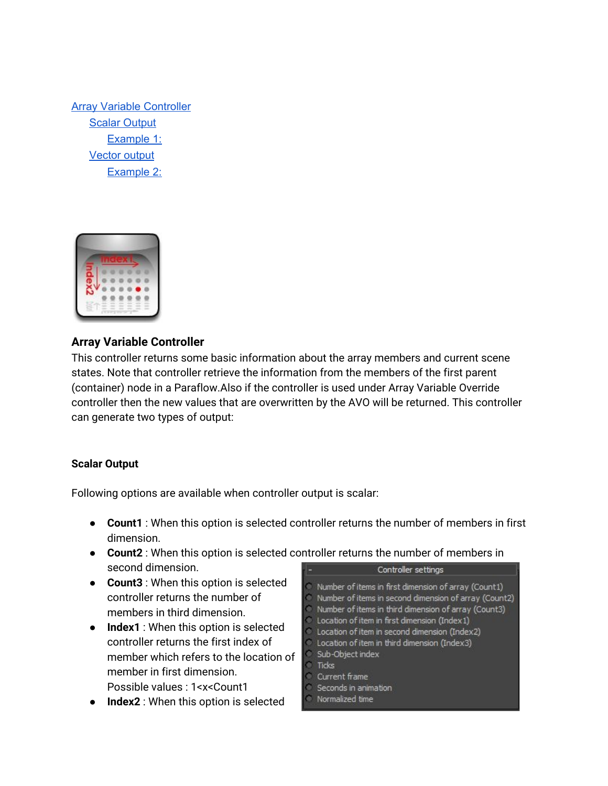Array Variable [Controller](#page-0-1) Scalar [Output](#page-0-0) [Example](#page-1-0) 1: [Vector](#page-2-1) output [Example](#page-2-0) 2:



# <span id="page-0-1"></span>**Array Variable Controller**

This controller returns some basic information about the array members and current scene states. Note that controller retrieve the information from the members of the first parent (container) node in a Paraflow.Also if the controller is used under Array Variable Override controller then the new values that are overwritten by the AVO will be returned. This controller can generate two types of output:

# <span id="page-0-0"></span>**Scalar Output**

Following options are available when controller output is scalar:

- **Count1** : When this option is selected controller returns the number of members in first dimension.
- **Count2** : When this option is selected controller returns the number of members in second dimension. Controller settings
- **Count3** : When this option is selected controller returns the number of members in third dimension.
- **Index1** : When this option is selected controller returns the first index of member which refers to the location of member in first dimension. Possible values : 1<x<Count1
- **Index2** : When this option is selected

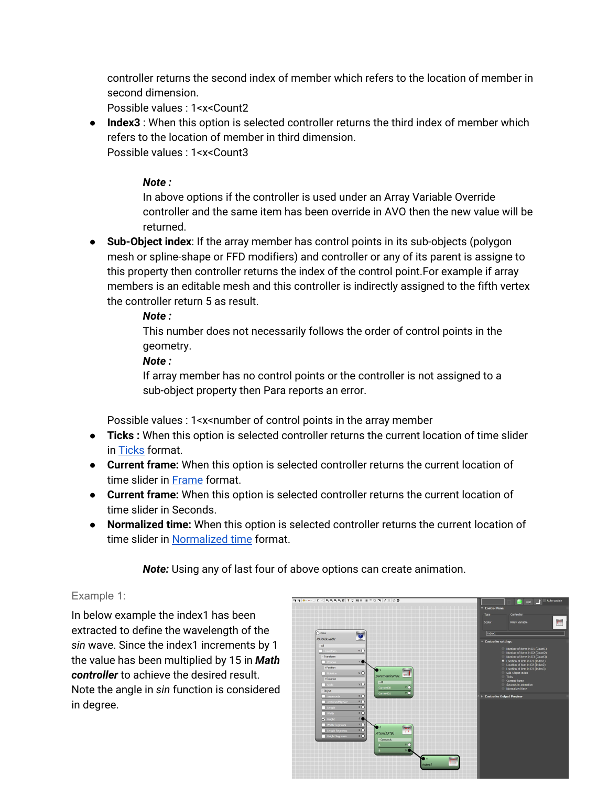controller returns the second index of member which refers to the location of member in second dimension.

Possible values : 1<x<Count2

● **Index3** : When this option is selected controller returns the third index of member which refers to the location of member in third dimension. Possible values : 1<x<Count3

### *Note :*

In above options if the controller is used under an Array Variable Override controller and the same item has been override in AVO then the new value will be returned.

● **Sub-Object index**: If the array member has control points in its sub-objects (polygon mesh or spline-shape or FFD modifiers) and controller or any of its parent is assigne to this property then controller returns the index of the control point.For example if array members is an editable mesh and this controller is indirectly assigned to the fifth vertex the controller return 5 as result.

#### *Note :*

This number does not necessarily follows the order of control points in the geometry.

#### *Note :*

If array member has no control points or the controller is not assigned to a sub-object property then Para reports an error.

Possible values : 1<x<number of control points in the array member

- **● Ticks :** When this option is selected controller returns the current location of time slider in Ticks format.
- **Current frame:** When this option is selected controller returns the current location of time slider in [Frame](http://docs.autodesk.com/3DSMAX/15/ENU/3ds-Max-Help/files/GUID-92B75FD6-C112-44D6-AB89-DB50D11AE0DE.htm) format.
- **Current frame:** When this option is selected controller returns the current location of time slider in Seconds.
- **Normalized time:** When this option is selected controller returns the current location of time slider in [Normalized](http://docs.autodesk.com/3DSMAX/15/ENU/MAXScript-Help/files/GUID-51429B01-2FC6-4746-9E88-5EB5D93056CC.htm) time format.

*Note:* Using any of last four of above options can create animation.

# <span id="page-1-0"></span>Example 1:

In below example the index1 has been extracted to define the wavelength of the *sin* wave. Since the index1 increments by 1 the value has been multiplied by 15 in *Math controller* to achieve the desired result. Note the angle in *sin* function is considered in degree.

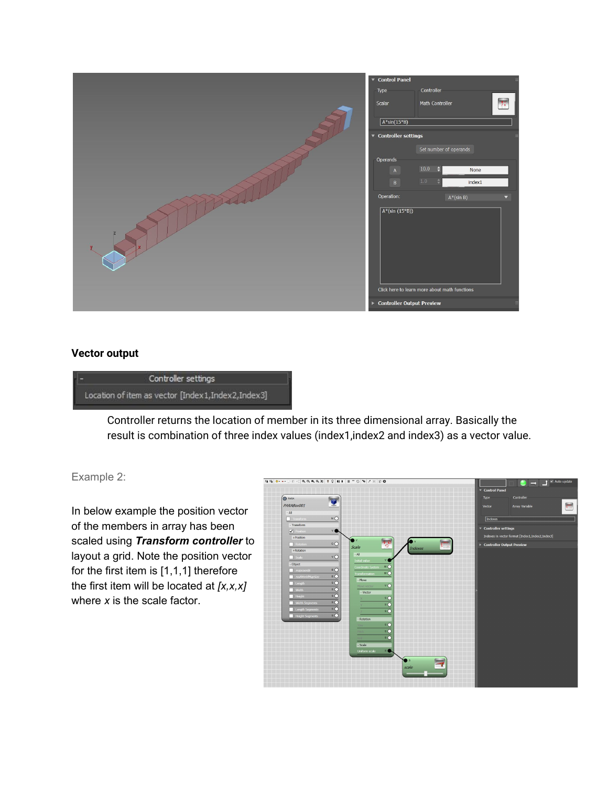|   | ▼ Control Panel<br>Controller<br>Type<br>$\overline{\mathcal{L}}$<br>Math Controller<br>Scalar<br>$\sqrt{A^*sin(15^*B)}$                                              |                         |
|---|-----------------------------------------------------------------------------------------------------------------------------------------------------------------------|-------------------------|
|   | $\bullet$ Controller settings<br>Set number of operands<br>Operands<br>10.0<br>Э<br>None<br>$\,$ A $\,$<br>1.0<br>$\,$ B $\,$<br>index1<br>Operation:<br>$A^*(sin B)$ | $\overline{\mathbf{v}}$ |
| z | $A*(sin (15*B))$<br>Click here to learn more about math functions                                                                                                     |                         |
|   | <b>Controller Output Preview</b><br>$\blacktriangleright$                                                                                                             |                         |

#### <span id="page-2-1"></span>**Vector output**



Controller returns the location of member in its three dimensional array. Basically the result is combination of three index values (index1,index2 and index3) as a vector value.

# <span id="page-2-0"></span>Example 2:

In below example the position vector of the members in array has been scaled using *Transform controller* to layout a grid. Note the position vector for the first item is [1,1,1] therefore the first item will be located at *[x,x,x]* where *x* is the scale factor.